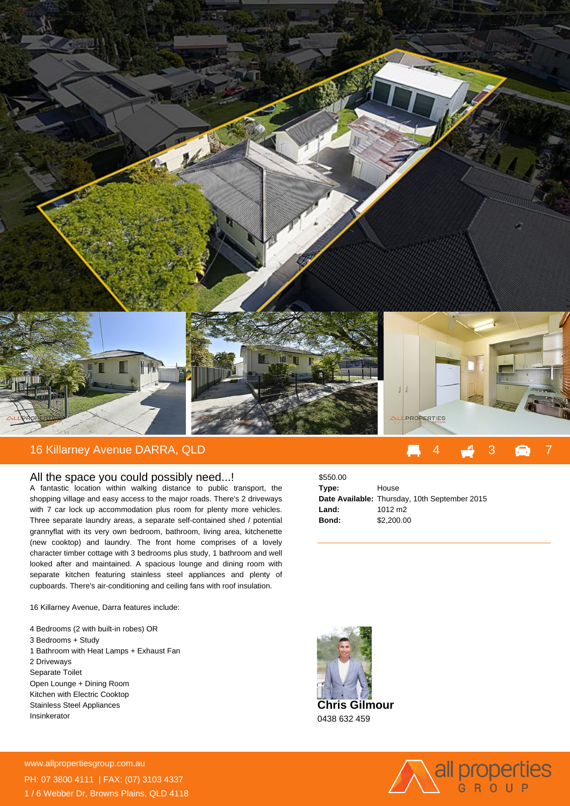

## 16 Killarney Avenue DARRA, QLD

## All the space you could possibly need...!

A fantastic location within walking distance to public transport, the shopping village and easy access to the major roads. There's 2 driveways with 7 car lock up accommodation plus room for plenty more vehicles. Three separate laundry areas, a separate self-contained shed / potential grannyflat with its very own bedroom, bathroom, living area, kitchenette (new cooktop) and laundry. The front home comprises of a lovely character timber cottage with 3 bedrooms plus study, 1 bathroom and well looked after and maintained. A spacious lounge and dining room with separate kitchen featuring stainless steel appliances and plenty of cupboards. There's air-conditioning and ceiling fans with roof insulation.

16 Killarney Avenue, Darra features include:

- 4 Bedrooms (2 with built-in robes) OR 3 Bedrooms + Study
- 1 Bathroom with Heat Lamps + Exhaust Fan 2 Driveways Separate Toilet
- Open Lounge + Dining Room
- Kitchen with Electric Cooktop Stainless Steel Appliances Insinkerator

| \$550.00 |                                               |
|----------|-----------------------------------------------|
| Type:    | House                                         |
|          | Date Available: Thursday, 10th September 2015 |
| Land:    | 1012 m <sub>2</sub>                           |
| Bond:    | \$2,200,00                                    |
|          |                                               |





**For more details please visit** www.allpropertiesgroup.com.au/<br>23585 PH: 07 3800 4111 | FAX: (07) 3103 4337 1 / 6 Webber Dr, Browns Plains, QLD 4118